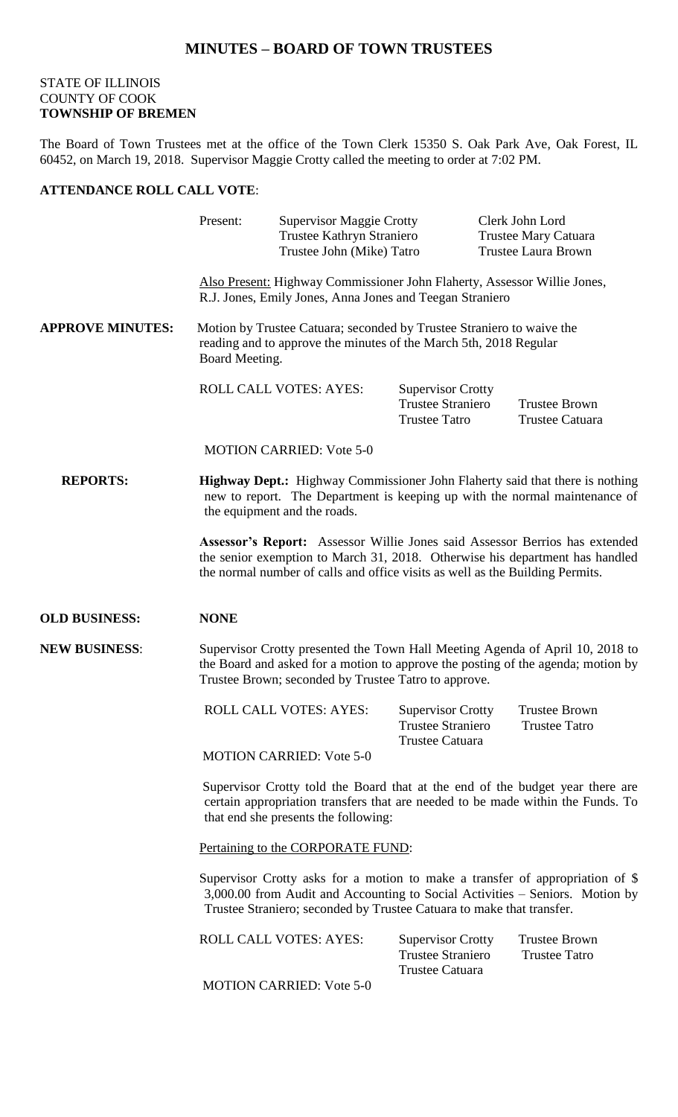## **MINUTES – BOARD OF TOWN TRUSTEES**

#### STATE OF ILLINOIS COUNTY OF COOK **TOWNSHIP OF BREMEN**

The Board of Town Trustees met at the office of the Town Clerk 15350 S. Oak Park Ave, Oak Forest, IL 60452, on March 19, 2018. Supervisor Maggie Crotty called the meeting to order at 7:02 PM.

#### **ATTENDANCE ROLL CALL VOTE**:

|                         | Present:                                                                                                                                                     | <b>Supervisor Maggie Crotty</b><br>Trustee Kathryn Straniero<br>Trustee John (Mike) Tatro |                                                                                                                                      | Clerk John Lord<br>Trustee Mary Catuara<br><b>Trustee Laura Brown</b>                                                                                             |  |  |
|-------------------------|--------------------------------------------------------------------------------------------------------------------------------------------------------------|-------------------------------------------------------------------------------------------|--------------------------------------------------------------------------------------------------------------------------------------|-------------------------------------------------------------------------------------------------------------------------------------------------------------------|--|--|
|                         |                                                                                                                                                              |                                                                                           | Also Present: Highway Commissioner John Flaherty, Assessor Willie Jones,<br>R.J. Jones, Emily Jones, Anna Jones and Teegan Straniero |                                                                                                                                                                   |  |  |
| <b>APPROVE MINUTES:</b> | Motion by Trustee Catuara; seconded by Trustee Straniero to waive the<br>reading and to approve the minutes of the March 5th, 2018 Regular<br>Board Meeting. |                                                                                           |                                                                                                                                      |                                                                                                                                                                   |  |  |
|                         |                                                                                                                                                              | <b>ROLL CALL VOTES: AYES:</b>                                                             | <b>Supervisor Crotty</b><br><b>Trustee Straniero</b><br><b>Trustee Tatro</b>                                                         | <b>Trustee Brown</b><br><b>Trustee Catuara</b>                                                                                                                    |  |  |
|                         |                                                                                                                                                              | <b>MOTION CARRIED: Vote 5-0</b>                                                           |                                                                                                                                      |                                                                                                                                                                   |  |  |
| <b>REPORTS:</b>         |                                                                                                                                                              | the equipment and the roads.                                                              |                                                                                                                                      | <b>Highway Dept.:</b> Highway Commissioner John Flaherty said that there is nothing<br>new to report. The Department is keeping up with the normal maintenance of |  |  |
|                         |                                                                                                                                                              | the normal number of calls and office visits as well as the Building Permits.             |                                                                                                                                      | Assessor's Report: Assessor Willie Jones said Assessor Berrios has extended<br>the senior exemption to March 31, 2018. Otherwise his department has handled       |  |  |
|                         |                                                                                                                                                              |                                                                                           |                                                                                                                                      |                                                                                                                                                                   |  |  |
| <b>OLD BUSINESS:</b>    | <b>NONE</b>                                                                                                                                                  |                                                                                           |                                                                                                                                      |                                                                                                                                                                   |  |  |
| <b>NEW BUSINESS:</b>    |                                                                                                                                                              | Trustee Brown; seconded by Trustee Tatro to approve.                                      |                                                                                                                                      | Supervisor Crotty presented the Town Hall Meeting Agenda of April 10, 2018 to<br>the Board and asked for a motion to approve the posting of the agenda; motion by |  |  |
|                         |                                                                                                                                                              | ROLL CALL VOTES: AYES: Supervisor Crotty                                                  | <b>Trustee Straniero</b>                                                                                                             | <b>Trustee Brown</b><br><b>Trustee Tatro</b>                                                                                                                      |  |  |
|                         |                                                                                                                                                              | <b>MOTION CARRIED: Vote 5-0</b>                                                           | <b>Trustee Catuara</b>                                                                                                               |                                                                                                                                                                   |  |  |
|                         |                                                                                                                                                              | that end she presents the following:                                                      |                                                                                                                                      | Supervisor Crotty told the Board that at the end of the budget year there are<br>certain appropriation transfers that are needed to be made within the Funds. To  |  |  |
|                         |                                                                                                                                                              | Pertaining to the CORPORATE FUND:                                                         |                                                                                                                                      |                                                                                                                                                                   |  |  |
|                         |                                                                                                                                                              | Trustee Straniero; seconded by Trustee Catuara to make that transfer.                     |                                                                                                                                      | Supervisor Crotty asks for a motion to make a transfer of appropriation of \$<br>3,000.00 from Audit and Accounting to Social Activities – Seniors. Motion by     |  |  |
|                         |                                                                                                                                                              | <b>ROLL CALL VOTES: AYES:</b>                                                             | <b>Supervisor Crotty</b><br><b>Trustee Straniero</b><br><b>Trustee Catuara</b>                                                       | <b>Trustee Brown</b><br><b>Trustee Tatro</b>                                                                                                                      |  |  |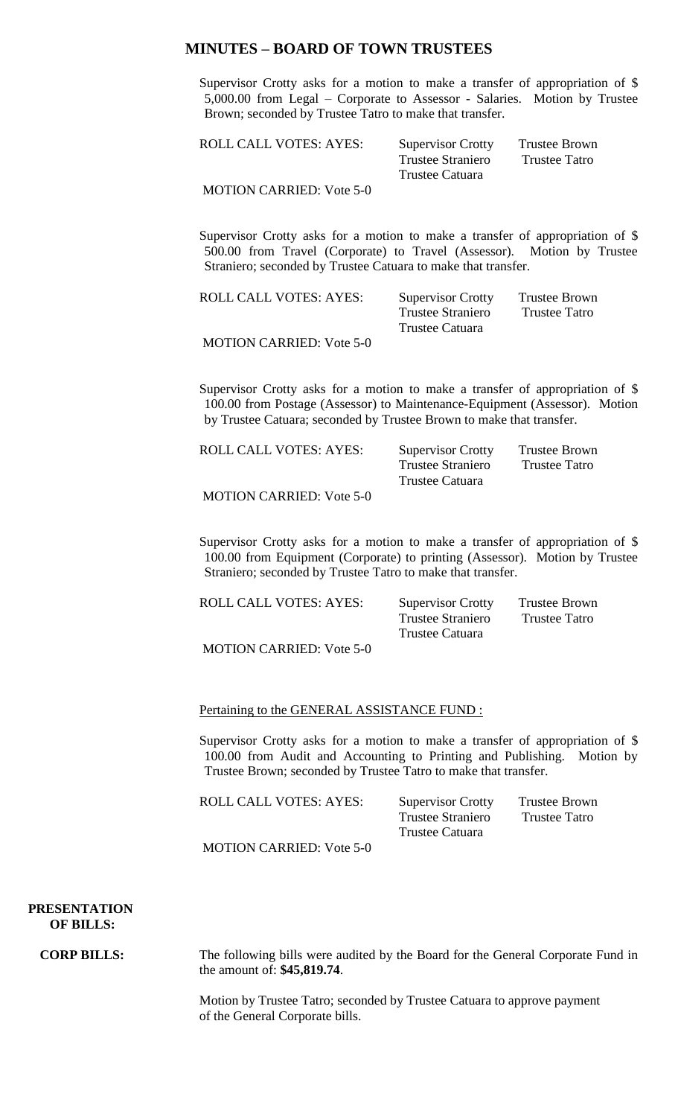### **MINUTES – BOARD OF TOWN TRUSTEES**

Supervisor Crotty asks for a motion to make a transfer of appropriation of \$ 5,000.00 from Legal – Corporate to Assessor - Salaries. Motion by Trustee Brown; seconded by Trustee Tatro to make that transfer.

| <b>ROLL CALL VOTES: AYES:</b>   | <b>Supervisor Crotty</b> | Trustee Brown |
|---------------------------------|--------------------------|---------------|
|                                 | Trustee Straniero        | Trustee Tatro |
|                                 | Trustee Catuara          |               |
| <b>MOTION CARRIED: Vote 5-0</b> |                          |               |

Supervisor Crotty asks for a motion to make a transfer of appropriation of \$ 500.00 from Travel (Corporate) to Travel (Assessor). Motion by Trustee Straniero; seconded by Trustee Catuara to make that transfer.

| <b>ROLL CALL VOTES: AYES:</b>   | <b>Supervisor Crotty</b> | Trustee Brown |
|---------------------------------|--------------------------|---------------|
|                                 | Trustee Straniero        | Trustee Tatro |
|                                 | Trustee Catuara          |               |
| <b>MOTION CARRIED: Vote 5-0</b> |                          |               |

Supervisor Crotty asks for a motion to make a transfer of appropriation of \$ 100.00 from Postage (Assessor) to Maintenance-Equipment (Assessor). Motion by Trustee Catuara; seconded by Trustee Brown to make that transfer.

| <b>ROLL CALL VOTES: AYES:</b>   | <b>Supervisor Crotty</b> | <b>Trustee Brown</b> |
|---------------------------------|--------------------------|----------------------|
|                                 | <b>Trustee Straniero</b> | Trustee Tatro        |
|                                 | Trustee Catuara          |                      |
| <b>MOTION CARRIED: Vote 5-0</b> |                          |                      |

Supervisor Crotty asks for a motion to make a transfer of appropriation of \$ 100.00 from Equipment (Corporate) to printing (Assessor). Motion by Trustee Straniero; seconded by Trustee Tatro to make that transfer.

| ROLL CALL VOTES: AYES:          | <b>Supervisor Crotty</b> | Trustee Brown |
|---------------------------------|--------------------------|---------------|
|                                 | <b>Trustee Straniero</b> | Trustee Tatro |
|                                 | Trustee Catuara          |               |
| <b>MOTION CARRIED: Vote 5-0</b> |                          |               |

#### Pertaining to the GENERAL ASSISTANCE FUND :

Supervisor Crotty asks for a motion to make a transfer of appropriation of \$ 100.00 from Audit and Accounting to Printing and Publishing. Motion by Trustee Brown; seconded by Trustee Tatro to make that transfer.

| ROLL CALL VOTES: AYES:          | <b>Supervisor Crotty</b> | Trustee Brown |
|---------------------------------|--------------------------|---------------|
|                                 | <b>Trustee Straniero</b> | Trustee Tatro |
|                                 | Trustee Catuara          |               |
| <b>MOTION CARRIED: Vote 5-0</b> |                          |               |

 **PRESENTATION OF BILLS:**

**CORP BILLS:** The following bills were audited by the Board for the General Corporate Fund in the amount of: **\$45,819.74**.

> Motion by Trustee Tatro; seconded by Trustee Catuara to approve payment of the General Corporate bills.